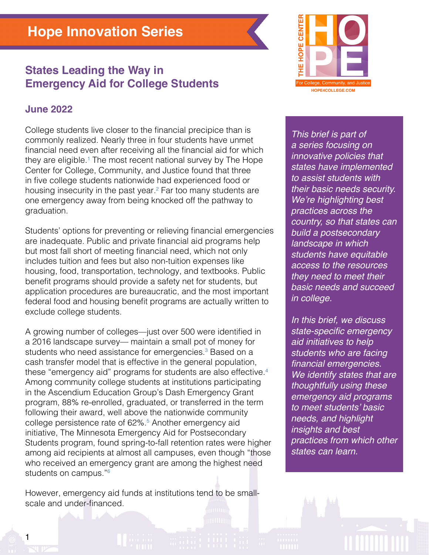# **States Leading the Way in Emergency Aid for College Students**

## **June 2022**

1

College students live closer to the financial precipice than is commonly realized. Nearly three in four students have unmet financial need even after receiving all the financial aid for which they are eligible.<sup>[1](#page-6-0)</sup> The most recent national survey by The Hope Center for College, Community, and Justice found that three in five college students nationwide had experienced food or housing insecurity in the past year.<sup>[2](#page-6-0)</sup> Far too many students are one emergency away from being knocked off the pathway to graduation.

Students' options for preventing or relieving financial emergencies are inadequate. Public and private financial aid programs help but most fall short of meeting financial need, which not only includes tuition and fees but also non-tuition expenses like housing, food, transportation, technology, and textbooks. Public benefit programs should provide a safety net for students, but application procedures are bureaucratic, and the most important federal food and housing benefit programs are actually written to exclude college students.

A growing number of colleges—just over 500 were identified in a 2016 landscape survey— maintain a small pot of money for students who need assistance for emergencies.<sup>[3](#page-6-0)</sup> Based on a cash transfer model that is effective in the general population, these "emergency aid" programs for students are also effective.[4](#page-6-0) Among community college students at institutions participating in the Ascendium Education Group's Dash Emergency Grant program, 88% re-enrolled, graduated, or transferred in the term following their award, well above the nationwide community college persistence rate of 62%.<sup>5</sup> Another emergency aid initiative, The Minnesota Emergency Aid for Postsecondary Students program, found spring-to-fall retention rates were higher among aid recipients at almost all campuses, even though "those who received an emergency grant are among the highest need students on campus."<sup>6</sup>

However, emergency aid funds at institutions tend to be smallscale and under-financed.



*This brief is part of a series focusing on innovative policies that states have implemented to assist students with their basic needs security.*  We're highlighting best *practices across the country, so that states can build a postsecondary landscape in which students have equitable access to the resources they need to meet their basic needs and succeed in college.*

*In this brief, we discuss*  state-specific emergency *aid initiatives to help students who are facing*  financial emergencies. *We identify states that are thoughtfully using these emergency aid programs*  to meet students' basic *needs, and highlight insights and best practices from which other states can learn.*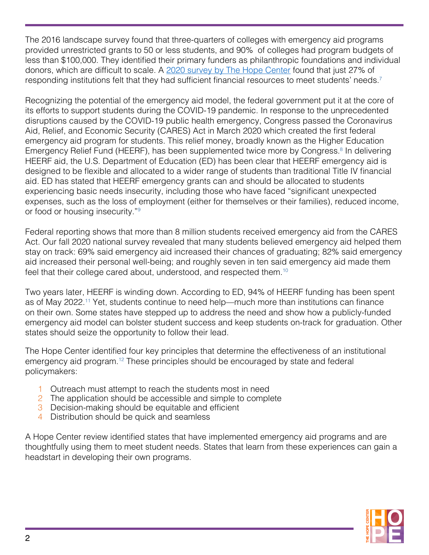The 2016 landscape survey found that three-quarters of colleges with emergency aid programs provided unrestricted grants to 50 or less students, and 90% of colleges had program budgets of less than \$100,000. They identified their primary funders as philanthropic foundations and individual donors, which are difficult to scale. A [2020 survey by The Hope Center](https://hope4college.com/rc2021-bni-during-the-ongoing-pandemic/) found that just 27% of responding institutions felt that they had sufficient financial resources to meet students' needs.<sup>[7](#page-6-0)</sup>

Recognizing the potential of the emergency aid model, the federal government put it at the core of its efforts to support students during the COVID-19 pandemic. In response to the unprecedented disruptions caused by the COVID-19 public health emergency, Congress passed the Coronavirus Aid, Relief, and Economic Security (CARES) Act in March 2020 which created the first federal emergency aid program for students. This relief money, broadly known as the Higher Education Emergency Relief Fund (HEERF), has been supplemented twice more by Congress.<sup>8</sup> In delivering HEERF aid, the U.S. Department of Education (ED) has been clear that HEERF emergency aid is designed to be flexible and allocated to a wider range of students than traditional Title IV financial aid. ED has stated that HEERF emergency grants can and should be allocated to students experiencing basic needs insecurity, including those who have faced "significant unexpected expenses, such as the loss of employment (either for themselves or their families), reduced income, or food or housing insecurity."[9](#page-6-0)

Federal reporting shows that more than 8 million students received emergency aid from the CARES Act. Our fall 2020 national survey revealed that many students believed emergency aid helped them stay on track: 69% said emergency aid increased their chances of graduating; 82% said emergency aid increased their personal well-being; and roughly seven in ten said emergency aid made them feel that their college cared about, understood, and respected them[.10](#page-6-0)

Two years later, HEERF is winding down. According to ED, 94% of HEERF funding has been spent as of May 2022.[11](#page-6-0) Yet, students continue to need help—much more than institutions can finance on their own. Some states have stepped up to address the need and show how a publicly-funded emergency aid model can bolster student success and keep students on-track for graduation. Other states should seize the opportunity to follow their lead.

The Hope Center identified four key principles that determine the effectiveness of an institutional emergency aid program.<sup>[12](#page-6-0)</sup> These principles should be encouraged by state and federal policymakers:

- 1 Outreach must attempt to reach the students most in need
- 2 The application should be accessible and simple to complete
- 3 Decision-making should be equitable and efficient
- 4 Distribution should be quick and seamless

A Hope Center review identified states that have implemented emergency aid programs and are thoughtfully using them to meet student needs. States that learn from these experiences can gain a headstart in developing their own programs.

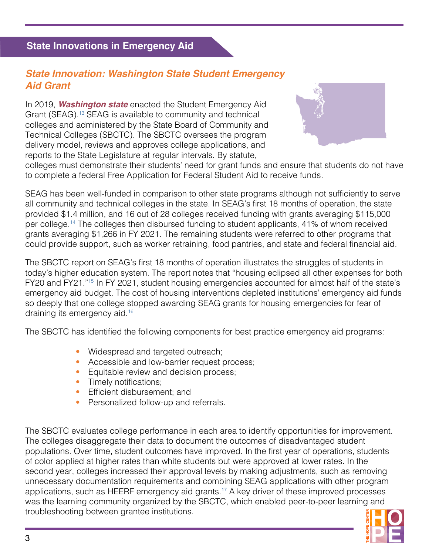## **State Innovations in Emergency Aid**

## *State Innovation: Washington State Student Emergency Aid Grant*

In 2019, *Washington state* enacted the Student Emergency Aid Grant (SEAG).[13](#page-6-0) SEAG is available to community and technical colleges and administered by the State Board of Community and Technical Colleges (SBCTC). The SBCTC oversees the program delivery model, reviews and approves college applications, and reports to the State Legislature at regular intervals. By statute,



colleges must demonstrate their students' need for grant funds and ensure that students do not have to complete a federal Free Application for Federal Student Aid to receive funds.

SEAG has been well-funded in comparison to other state programs although not sufficiently to serve all community and technical colleges in the state. In SEAG's first 18 months of operation, the state provided \$1.4 million, and 16 out of 28 colleges received funding with grants averaging \$115,000 per college.<sup>[14](#page-6-0)</sup> The colleges then disbursed funding to student applicants, 41% of whom received grants averaging \$1,266 in FY 2021. The remaining students were referred to other programs that could provide support, such as worker retraining, food pantries, and state and federal financial aid.

The SBCTC report on SEAG's first 18 months of operation illustrates the struggles of students in today's higher education system. The report notes that "housing eclipsed all other expenses for both FY20 and FY21.["15](#page-6-0) In FY 2021, student housing emergencies accounted for almost half of the state's emergency aid budget. The cost of housing interventions depleted institutions' emergency aid funds so deeply that one college stopped awarding SEAG grants for housing emergencies for fear of draining its emergency aid.<sup>16</sup>

The SBCTC has identified the following components for best practice emergency aid programs:

- Widespread and targeted outreach;
- Accessible and low-barrier request process;
- Equitable review and decision process;
- Timely notifications;
- Efficient disbursement; and
- Personalized follow-up and referrals.

The SBCTC evaluates college performance in each area to identify opportunities for improvement. The colleges disaggregate their data to document the outcomes of disadvantaged student populations. Over time, student outcomes have improved. In the first year of operations, students of color applied at higher rates than white students but were approved at lower rates. In the second year, colleges increased their approval levels by making adjustments, such as removing unnecessary documentation requirements and combining SEAG applications with other program applications, such as HEERF emergency aid grants.<sup>17</sup> A key driver of these improved processes was the learning community organized by the SBCTC, which enabled peer-to-peer learning and troubleshooting between grantee institutions.

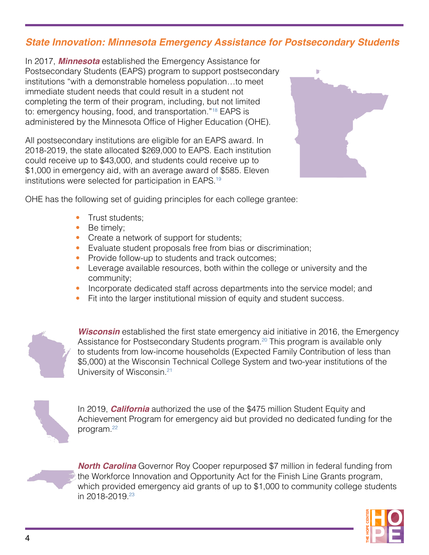# *State Innovation: Minnesota Emergency Assistance for Postsecondary Students*

In 2017, *Minnesota* established the Emergency Assistance for Postsecondary Students (EAPS) program to support postsecondary institutions "with a demonstrable homeless population…to meet immediate student needs that could result in a student not completing the term of their program, including, but not limited to: emergency housing, food, and transportation."[18](#page-6-0) EAPS is administered by the Minnesota Office of Higher Education (OHE).

All postsecondary institutions are eligible for an EAPS award. In 2018-2019, the state allocated \$269,000 to EAPS. Each institution could receive up to \$43,000, and students could receive up to \$1,000 in emergency aid, with an average award of \$585. Eleven institutions were selected for participation in EAPS[.19](#page-7-0)



OHE has the following set of guiding principles for each college grantee:

- Trust students;
- Be timely;
- Create a network of support for students;
- Evaluate student proposals free from bias or discrimination;
- Provide follow-up to students and track outcomes;
- Leverage available resources, both within the college or university and the community;
- Incorporate dedicated staff across departments into the service model; and
- Fit into the larger institutional mission of equity and student success.



**Wisconsin** established the first state emergency aid initiative in 2016, the Emergency Assistance for Postsecondary Students program.<sup>[20](#page-7-0)</sup> This program is available only to students from low-income households (Expected Family Contribution of less than \$5,000) at the Wisconsin Technical College System and two-year institutions of the University of Wisconsin.[21](#page-7-0) 



In 2019, *California* authorized the use of the \$475 million Student Equity and Achievement Program for emergency aid but provided no dedicated funding for the program.[22](#page-7-0) 



*North Carolina* Governor Roy Cooper repurposed \$7 million in federal funding from the Workforce Innovation and Opportunity Act for the Finish Line Grants program, which provided emergency aid grants of up to \$1,000 to community college students in 2018-2019.[23](#page-7-0) 

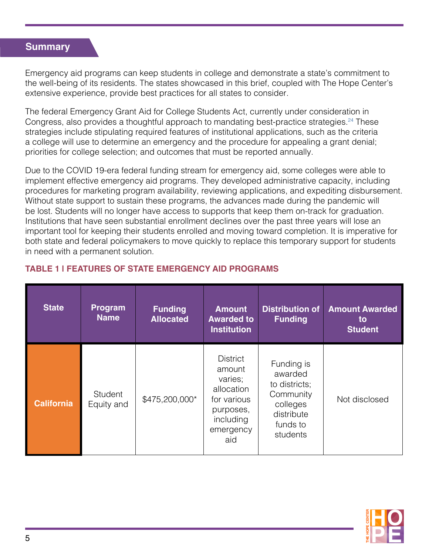#### **Summary**

Emergency aid programs can keep students in college and demonstrate a state's commitment to the well-being of its residents. The states showcased in this brief, coupled with The Hope Center's extensive experience, provide best practices for all states to consider.

The federal Emergency Grant Aid for College Students Act, currently under consideration in Congress, also provides a thoughtful approach to mandating best-practice strategies.<sup>24</sup> These strategies include stipulating required features of institutional applications, such as the criteria a college will use to determine an emergency and the procedure for appealing a grant denial; priorities for college selection; and outcomes that must be reported annually.

Due to the COVID 19-era federal funding stream for emergency aid, some colleges were able to implement effective emergency aid programs. They developed administrative capacity, including procedures for marketing program availability, reviewing applications, and expediting disbursement. Without state support to sustain these programs, the advances made during the pandemic will be lost. Students will no longer have access to supports that keep them on-track for graduation. Institutions that have seen substantial enrollment declines over the past three years will lose an important tool for keeping their students enrolled and moving toward completion. It is imperative for both state and federal policymakers to move quickly to replace this temporary support for students in need with a permanent solution.

| <b>State</b>      | <b>Program</b><br><b>Name</b> | <b>Funding</b><br><b>Allocated</b> | <b>Amount</b><br><b>Awarded to</b><br><b>Institution</b>                                                        | <b>Distribution of</b><br><b>Funding</b>                                                              | <b>Amount Awarded</b><br>to<br><b>Student</b> |
|-------------------|-------------------------------|------------------------------------|-----------------------------------------------------------------------------------------------------------------|-------------------------------------------------------------------------------------------------------|-----------------------------------------------|
| <b>California</b> | <b>Student</b><br>Equity and  | \$475,200,000*                     | <b>District</b><br>amount<br>varies;<br>allocation<br>for various<br>purposes,<br>including<br>emergency<br>aid | Funding is<br>awarded<br>to districts;<br>Community<br>colleges<br>distribute<br>funds to<br>students | Not disclosed                                 |

#### **TABLE 1 | FEATURES OF STATE EMERGENCY AID PROGRAMS**

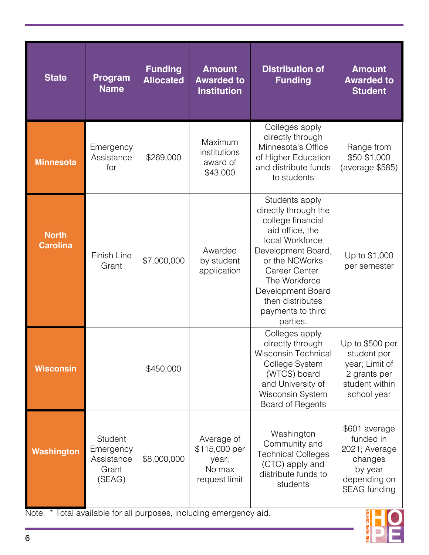| <b>State</b>                    | <b>Program</b><br><b>Name</b>                         | <b>Funding</b><br><b>Allocated</b> | <b>Amount</b><br><b>Awarded to</b><br><b>Institution</b>        | <b>Distribution of</b><br><b>Funding</b>                                                                                                                                                                                                               | <b>Amount</b><br><b>Awarded to</b><br><b>Student</b>                                              |
|---------------------------------|-------------------------------------------------------|------------------------------------|-----------------------------------------------------------------|--------------------------------------------------------------------------------------------------------------------------------------------------------------------------------------------------------------------------------------------------------|---------------------------------------------------------------------------------------------------|
| <b>Minnesota</b>                | Emergency<br>Assistance<br>for                        | \$269,000                          | Maximum<br>institutions<br>award of<br>\$43,000                 | Colleges apply<br>directly through<br>Minnesota's Office<br>of Higher Education<br>and distribute funds<br>to students                                                                                                                                 | Range from<br>\$50-\$1,000<br>(average \$585)                                                     |
| <b>North</b><br><b>Carolina</b> | Finish Line<br>Grant                                  | \$7,000,000                        | Awarded<br>by student<br>application                            | Students apply<br>directly through the<br>college financial<br>aid office, the<br>local Workforce<br>Development Board,<br>or the NCWorks<br>Career Center.<br>The Workforce<br>Development Board<br>then distributes<br>payments to third<br>parties. | Up to \$1,000<br>per semester                                                                     |
| <b>Wisconsin</b>                |                                                       | \$450,000                          |                                                                 | Colleges apply<br>directly through<br><b>Wisconsin Technical</b><br>College System<br>(WTCS) board<br>and University of<br>Wisconsin System<br>Board of Regents                                                                                        | Up to \$500 per<br>student per<br>year; Limit of<br>2 grants per<br>student within<br>school year |
| <b>Washington</b>               | Student<br>Emergency<br>Assistance<br>Grant<br>(SEAG) | \$8,000,000                        | Average of<br>\$115,000 per<br>year;<br>No max<br>request limit | Washington<br>Community and<br><b>Technical Colleges</b><br>(CTC) apply and<br>distribute funds to<br>students                                                                                                                                         | \$601 average<br>funded in<br>2021; Average<br>changes<br>by year<br>depending on<br>SEAG funding |

Note: \* Total available for all purposes, including emergency aid.

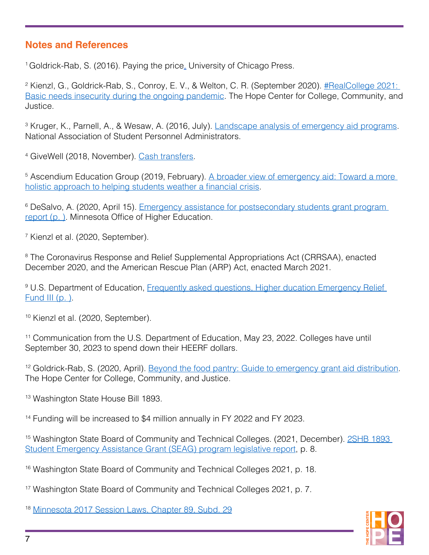## <span id="page-6-0"></span>**Notes and References**

<sup>1</sup> Goldrick-Rab, S[.](https://press.uchicago.edu/ucp/books/book/chicago/P/bo24663096.html) (2016). Paying the price. University of Chicago Press.

<sup>2</sup> Kienzl, G., Goldrick-Rab, S., Conroy, E. V., & Welton, C. R. (September 2020). <u>#RealCollege 2021:</u> [Basic needs insecurity during the ongoing pandemic](https://hope4college.com/rc2021-bni-during-the-ongoing-pandemic/). The Hope Center for College, Community, and Justice.

<sup>3</sup> Kruger, K., Parnell, A., & Wesaw, A. (2016, July). <u>Landscape analysis of emergency aid programs</u>. National Association of Student Personnel Administrators.

<sup>4</sup> GiveWell (2018, November). <u>Cash transfers</u>.

<sup>5</sup> Ascendium Education Group (2019, February). <u>[A broader view of emergency aid: Toward a more](https://www.ascendiumphilanthropy.org/assets/Uploads/Resource-Page-Content/Ascendium-Pubs/EG_Dash_Closing_Report_FINAL.pdf) </u> [holistic approach to helping students weather a financial crisis.](https://www.ascendiumphilanthropy.org/assets/Uploads/Resource-Page-Content/Ascendium-Pubs/EG_Dash_Closing_Report_FINAL.pdf)

<sup>6</sup> DeSalvo, A. (2020, April 15). <u>Emergency assistance for postsecondary students grant program-</u> [report](https://www.ohe.state.mn.us/pdf/Preliminary_EAPS_2020_Legislative_Report.pdf) (p. ). Minnesota Office of Higher Education.

7 Kienzl et al. (2020, September).

<sup>8</sup> The Coronavirus Response and Relief Supplemental Appropriations Act (CRRSAA), enacted December 2020, and the American Rescue Plan (ARP) Act, enacted March 2021.

<sup>9</sup> U.S. Department of Education, Frequently asked questions, Higher ducation Emergency Relief [Fund III](https://www2.ed.gov/about/offices/list/ope/arpfaq.pdf) (p. ).

10 Kienzl et al. (2020, September).

<sup>11</sup> Communication from the U.S. Department of Education, May 23, 2022. Colleges have until September 30, 2023 to spend down their HEERF dollars.

<sup>12</sup> Goldrick-Rab, S. (2020, April). [Beyond the food pantry: Guide to emergency grant aid distribution.](https://hope4college.com/wp-content/uploads/2020/04/BTFP_COVID19_EmergencyAid.pdf) The Hope Center for College, Community, and Justice.

<sup>13</sup> Washington State House Bill 1893.

<sup>14</sup> Funding will be increased to \$4 million annually in FY 2022 and FY 2023.

<sup>15</sup> Washington State Board of Community and Technical Colleges. (2021, December). 2SHB 1893 [Student Emergency Assistance Grant \(SEAG\) program legislative report](https://www.sbctc.edu/resources/documents/colleges-staff/programs-services/student-emergency-assistance-grant/legislative-report-2shb-1893-2020-12-1.pdf), p. 8.

<sup>16</sup> Washington State Board of Community and Technical Colleges 2021, p. 18.

17 Washington State Board of Community and Technical Colleges 2021, p. 7.

<sup>18</sup> [Minnesota 2017 Session Laws, Chapter 89, Subd. 29](https://www.revisor.mn.gov/laws/2017/0/89/)

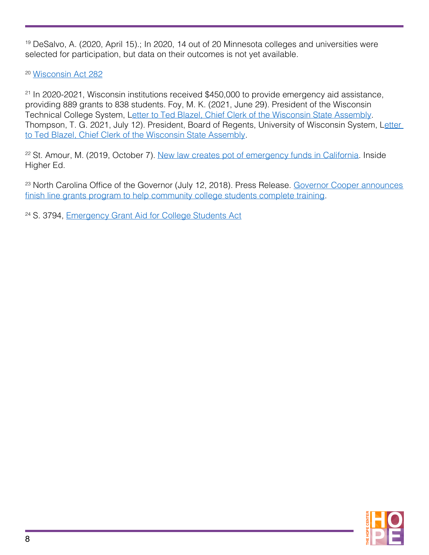<span id="page-7-0"></span><sup>19</sup> DeSalvo, A. (2020, April 15).; In 2020, 14 out of 20 Minnesota colleges and universities were selected for participation, but data on their outcomes is not yet available.

<sup>20</sup> [Wisconsin Act 282](https://docs.legis.wisconsin.gov/2015/related/acts/282)

<sup>21</sup> In 2020-2021, Wisconsin institutions received \$450,000 to provide emergency aid assistance, providing 889 grants to 838 students. Foy, M. K. (2021, June 29). President of the Wisconsin Technical College System, L[etter to Ted Blazel, Chief Clerk of the Wisconsin State Assembly](http://lrbdigital.legis.wisconsin.gov/digital/collection/p16831coll6/id/2445/rec/12). Thompson, T. G. 2021, July 12). President, Board of Regents, University of Wisconsin System, L[etter](http://lrbdigital.legis.wisconsin.gov/digital/collection/p16831coll6/id/2329/rec/13)  [to Ted Blazel, Chief Clerk of the Wisconsin State Assembly](http://lrbdigital.legis.wisconsin.gov/digital/collection/p16831coll6/id/2329/rec/13).

<sup>22</sup> St. Amour, M. (2019, October 7). [New law creates pot of emergency funds in California.](https://www.insidehighered.com/news/2019/10/07/money-student-success-california-can-now-be-used-emergencies) Inside Higher Ed.

<sup>23</sup> North Carolina Office of the Governor (July 12, 2018). Press Release. Governor Cooper announces [finish line grants program to help community college students complete training.](https://governor.nc.gov/news/governor-cooper-announces-finish-line-grants-program-help-community-college-students-complete)

<sup>24</sup> S. 3794, *Emergency Grant Aid for College Students Act*